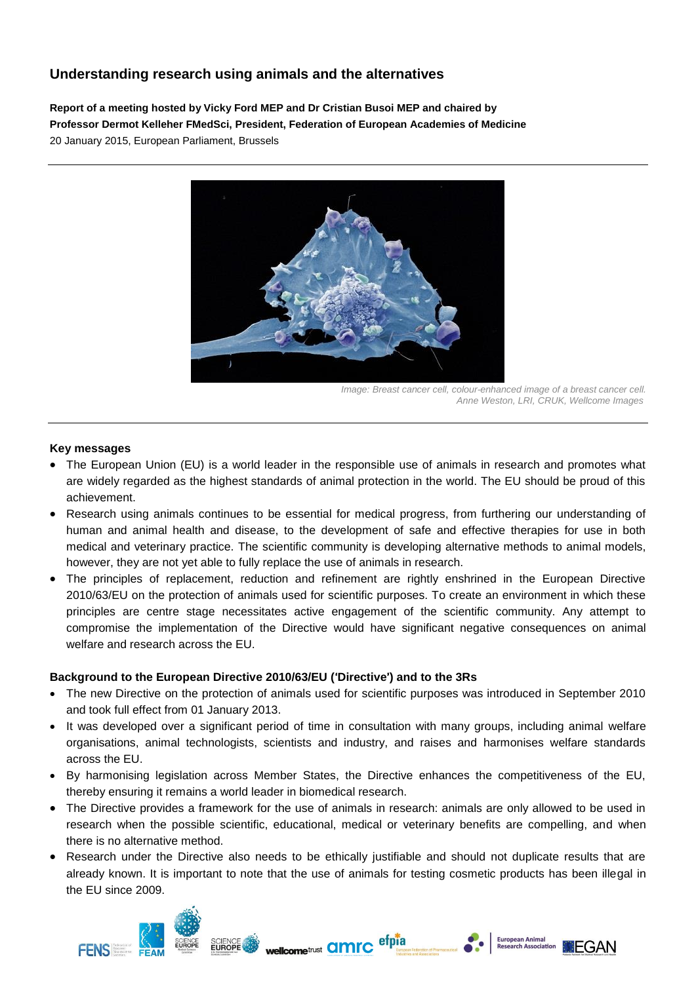# **Understanding research using animals and the alternatives**

**Report of a meeting hosted by Vicky Ford MEP and Dr Cristian Busoi MEP and chaired by Professor Dermot Kelleher FMedSci, President, Federation of European Academies of Medicine** 20 January 2015, European Parliament, Brussels



*Image: Breast cancer cell, colour-enhanced image of a breast cancer cell. Anne Weston, LRI, CRUK, Wellcome Images*

Ĭ.

**European Animal<br>Research Associa** 

#### **Key messages**

**FENSILE** 

- The European Union (EU) is a world leader in the responsible use of animals in research and promotes what are widely regarded as the highest standards of animal protection in the world. The EU should be proud of this achievement.
- Research using animals continues to be essential for medical progress, from furthering our understanding of human and animal health and disease, to the development of safe and effective therapies for use in both medical and veterinary practice. The scientific community is developing alternative methods to animal models, however, they are not yet able to fully replace the use of animals in research.
- The principles of replacement, reduction and refinement are rightly enshrined in the European Directive 2010/63/EU on the protection of animals used for scientific purposes. To create an environment in which these principles are centre stage necessitates active engagement of the scientific community. Any attempt to compromise the implementation of the Directive would have significant negative consequences on animal welfare and research across the EU.

#### **Background to the European Directive 2010/63/EU (**'**Directive**'**) and to the 3Rs**

**SCIENCE** 

- The new Directive on the protection of animals used for scientific purposes was introduced in September 2010 and took full effect from 01 January 2013.
- It was developed over a significant period of time in consultation with many groups, including animal welfare organisations, animal technologists, scientists and industry, and raises and harmonises welfare standards across the EU.
- By harmonising legislation across Member States, the Directive enhances the competitiveness of the EU, thereby ensuring it remains a world leader in biomedical research.
- The Directive provides a framework for the use of animals in research: animals are only allowed to be used in research when the possible scientific, educational, medical or veterinary benefits are compelling, and when there is no alternative method.
- Research under the Directive also needs to be ethically justifiable and should not duplicate results that are already known. It is important to note that the use of animals for testing cosmetic products has been illegal in the EU since 2009.

wellcometrust **amrc** 

efpia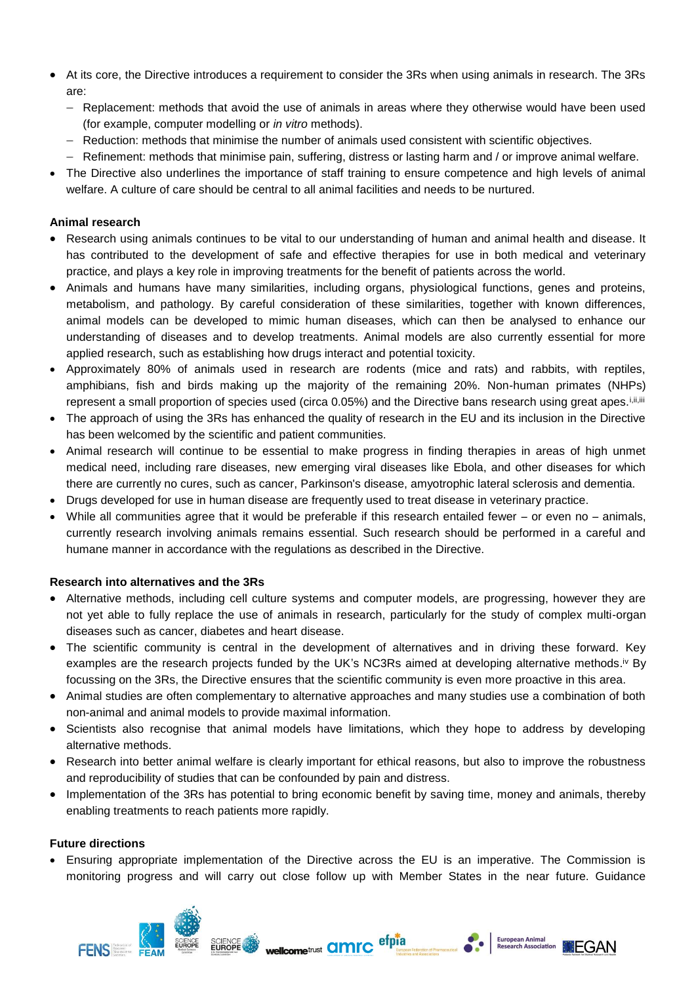- At its core, the Directive introduces a requirement to consider the 3Rs when using animals in research. The 3Rs are:
	- Replacement: methods that avoid the use of animals in areas where they otherwise would have been used (for example, computer modelling or *in vitro* methods).
	- Reduction: methods that minimise the number of animals used consistent with scientific objectives.
	- $-$  Refinement: methods that minimise pain, suffering, distress or lasting harm and / or improve animal welfare.
- The Directive also underlines the importance of staff training to ensure competence and high levels of animal welfare. A culture of care should be central to all animal facilities and needs to be nurtured.

## **Animal research**

- Research using animals continues to be vital to our understanding of human and animal health and disease. It has contributed to the development of safe and effective therapies for use in both medical and veterinary practice, and plays a key role in improving treatments for the benefit of patients across the world.
- Animals and humans have many similarities, including organs, physiological functions, genes and proteins, metabolism, and pathology. By careful consideration of these similarities, together with known differences, animal models can be developed to mimic human diseases, which can then be analysed to enhance our understanding of diseases and to develop treatments. Animal models are also currently essential for more applied research, such as establishing how drugs interact and potential toxicity.
- Approximately 80% of animals used in research are rodents (mice and rats) and rabbits, with reptiles, amphibians, fish and birds making up the majority of the remaining 20%. Non-human primates (NHPs) represent a small proportion of species used (circa 0.05%) and the Directive bans research using great apes.
- The approach of using the 3Rs has enhanced the quality of research in the EU and its inclusion in the Directive has been welcomed by the scientific and patient communities.
- Animal research will continue to be essential to make progress in finding therapies in areas of high unmet medical need, including rare diseases, new emerging viral diseases like Ebola, and other diseases for which there are currently no cures, such as cancer, Parkinson's disease, amyotrophic lateral sclerosis and dementia.
- Drugs developed for use in human disease are frequently used to treat disease in veterinary practice.
- While all communities agree that it would be preferable if this research entailed fewer or even no animals, currently research involving animals remains essential. Such research should be performed in a careful and humane manner in accordance with the regulations as described in the Directive.

## **Research into alternatives and the 3Rs**

- Alternative methods, including cell culture systems and computer models, are progressing, however they are not yet able to fully replace the use of animals in research, particularly for the study of complex multi-organ diseases such as cancer, diabetes and heart disease.
- The scientific community is central in the development of alternatives and in driving these forward. Key examples are the research projects funded by the UK's NC3Rs aimed at developing alternative methods.<sup>iv</sup> By focussing on the 3Rs, the Directive ensures that the scientific community is even more proactive in this area.
- Animal studies are often complementary to alternative approaches and many studies use a combination of both non-animal and animal models to provide maximal information.
- Scientists also recognise that animal models have limitations, which they hope to address by developing alternative methods.
- Research into better animal welfare is clearly important for ethical reasons, but also to improve the robustness and reproducibility of studies that can be confounded by pain and distress.
- Implementation of the 3Rs has potential to bring economic benefit by saving time, money and animals, thereby enabling treatments to reach patients more rapidly.

## **Future directions**

FENS **Supported** 

 Ensuring appropriate implementation of the Directive across the EU is an imperative. The Commission is monitoring progress and will carry out close follow up with Member States in the near future. Guidance

wellcometrust **amrc** 

SCIENCE

efpia

Ĭ.

EGAN